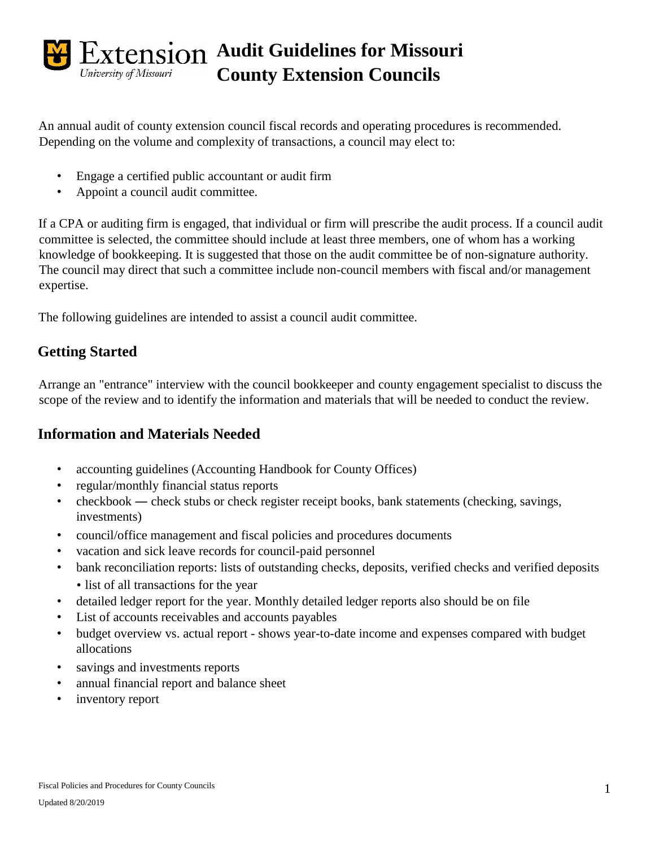

An annual audit of county extension council fiscal records and operating procedures is recommended. Depending on the volume and complexity of transactions, a council may elect to:

- Engage a certified public accountant or audit firm
- Appoint a council audit committee.

If a CPA or auditing firm is engaged, that individual or firm will prescribe the audit process. If a council audit committee is selected, the committee should include at least three members, one of whom has a working knowledge of bookkeeping. It is suggested that those on the audit committee be of non-signature authority. The council may direct that such a committee include non-council members with fiscal and/or management expertise.

The following guidelines are intended to assist a council audit committee.

# **Getting Started**

Arrange an "entrance" interview with the council bookkeeper and county engagement specialist to discuss the scope of the review and to identify the information and materials that will be needed to conduct the review.

### **Information and Materials Needed**

- accounting guidelines (Accounting Handbook for County Offices)
- regular/monthly financial status reports
- checkbook check stubs or check register receipt books, bank statements (checking, savings, investments)
- council/office management and fiscal policies and procedures documents
- vacation and sick leave records for council-paid personnel
- bank reconciliation reports: lists of outstanding checks, deposits, verified checks and verified deposits • list of all transactions for the year
- detailed ledger report for the year. Monthly detailed ledger reports also should be on file
- List of accounts receivables and accounts payables
- budget overview vs. actual report shows year-to-date income and expenses compared with budget allocations
- savings and investments reports
- annual financial report and balance sheet
- inventory report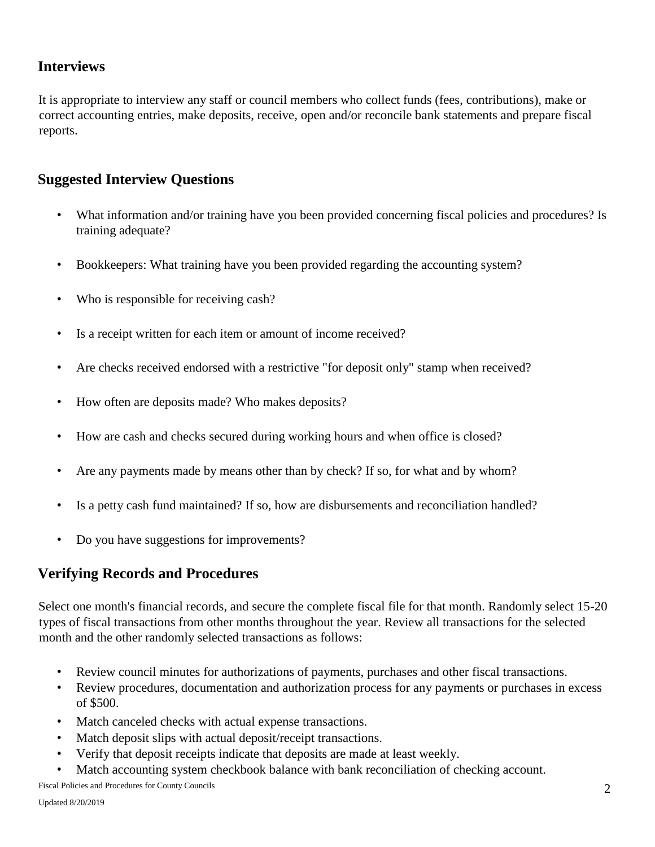#### **Interviews**

It is appropriate to interview any staff or council members who collect funds (fees, contributions), make or correct accounting entries, make deposits, receive, open and/or reconcile bank statements and prepare fiscal reports.

#### **Suggested Interview Questions**

- What information and/or training have you been provided concerning fiscal policies and procedures? Is training adequate?
- Bookkeepers: What training have you been provided regarding the accounting system?
- Who is responsible for receiving cash?
- Is a receipt written for each item or amount of income received?
- Are checks received endorsed with a restrictive "for deposit only" stamp when received?
- How often are deposits made? Who makes deposits?
- How are cash and checks secured during working hours and when office is closed?
- Are any payments made by means other than by check? If so, for what and by whom?
- Is a petty cash fund maintained? If so, how are disbursements and reconciliation handled?
- Do you have suggestions for improvements?

#### **Verifying Records and Procedures**

Select one month's financial records, and secure the complete fiscal file for that month. Randomly select 15-20 types of fiscal transactions from other months throughout the year. Review all transactions for the selected month and the other randomly selected transactions as follows:

- Review council minutes for authorizations of payments, purchases and other fiscal transactions.
- Review procedures, documentation and authorization process for any payments or purchases in excess of \$500.
- Match canceled checks with actual expense transactions.
- Match deposit slips with actual deposit/receipt transactions.
- Verify that deposit receipts indicate that deposits are made at least weekly.
- Match accounting system checkbook balance with bank reconciliation of checking account.

Fiscal Policies and Procedures for County Councils 2